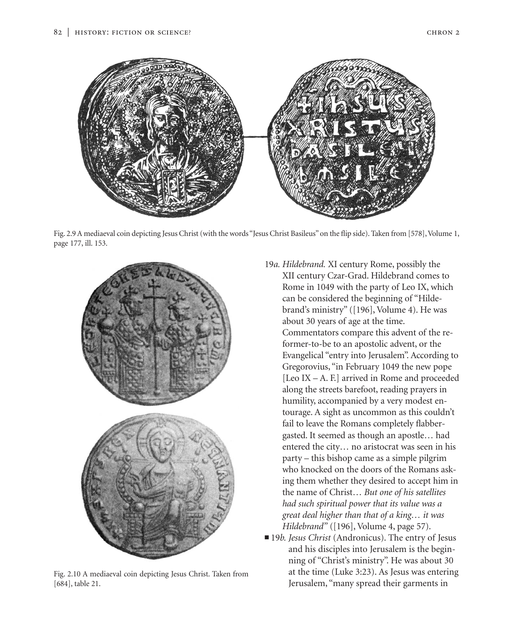

Fig. 2.9 A mediaeval coin depicting Jesus Christ (with the words "Jesus Christ Basileus" on the flip side). Taken from [578], Volume 1, page 177, ill. 153.



Fig. 2.10 A mediaeval coin depicting Jesus Christ. Taken from [684], table 21.

- 19*a. Hildebrand.* XI century Rome, possibly the XII century Czar-Grad. Hildebrand comes to Rome in 1049 with the party of Leo IX, which can be considered the beginning of "Hildebrand's ministry" ([196], Volume 4). He was about 30 years of age at the time. Commentators compare this advent of the reformer-to-be to an apostolic advent, or the Evangelical "entry into Jerusalem". According to Gregorovius, "in February 1049 the new pope [Leo IX – A. F.] arrived in Rome and proceeded along the streets barefoot, reading prayers in humility, accompanied by a very modest entourage. A sight as uncommon as this couldn't fail to leave the Romans completely flabbergasted. It seemed as though an apostle… had entered the city… no aristocrat was seen in his party – this bishop came as a simple pilgrim who knocked on the doors of the Romans asking them whether they desired to accept him in the name of Christ… *But one of his satellites had such spiritual power that its value was a great deal higher than that of a king… it was Hildebrand"* ([196], Volume 4, page 57).
- 19*b. Jesus Christ* (Andronicus). The entry of Jesus and his disciples into Jerusalem is the beginning of "Christ's ministry". He was about 30 at the time (Luke 3:23). As Jesus was entering Jerusalem, "many spread their garments in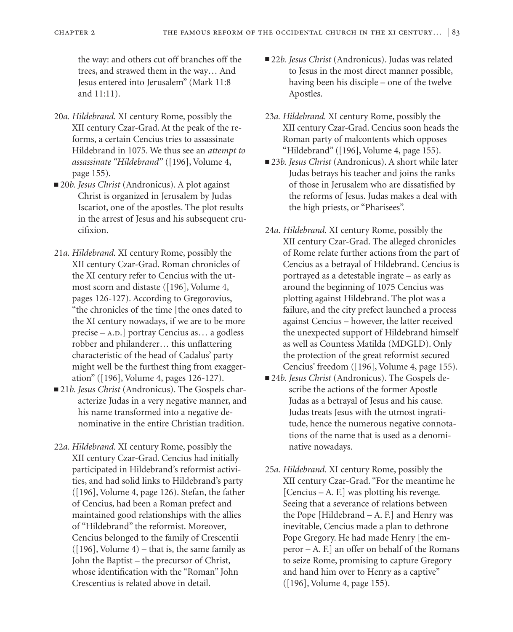the way: and others cut off branches off the trees, and strawed them in the way… And Jesus entered into Jerusalem" (Mark 11:8 and 11:11).

- 20*a. Hildebrand.* XI century Rome, possibly the XII century Czar-Grad. At the peak of the reforms, a certain Cencius tries to assassinate Hildebrand in 1075. We thus see an *attempt to assassinate "Hildebrand"* ([196], Volume 4, page 155).
- 20*b. Jesus Christ* (Andronicus). A plot against Christ is organized in Jerusalem by Judas Iscariot, one of the apostles. The plot results in the arrest of Jesus and his subsequent crucifixion.
- 21*a. Hildebrand.* XI century Rome, possibly the XII century Czar-Grad. Roman chronicles of the XI century refer to Cencius with the utmost scorn and distaste ([196], Volume 4, pages 126-127). According to Gregorovius, "the chronicles of the time [the ones dated to the XI century nowadays, if we are to be more precise – A.D.] portray Cencius as... a godless robber and philanderer… this unflattering characteristic of the head of Cadalus' party might well be the furthest thing from exaggeration" ([196], Volume 4, pages 126-127).
- 21*b. Jesus Christ* (Andronicus). The Gospels characterize Judas in a very negative manner, and his name transformed into a negative denominative in the entire Christian tradition.
- 22*a. Hildebrand.* XI century Rome, possibly the XII century Czar-Grad. Cencius had initially participated in Hildebrand's reformist activities, and had solid links to Hildebrand's party ([196], Volume 4, page 126). Stefan, the father of Cencius, had been a Roman prefect and maintained good relationships with the allies of "Hildebrand" the reformist. Moreover, Cencius belonged to the family of Crescentii  $([196],$  Volume 4) – that is, the same family as John the Baptist – the precursor of Christ, whose identification with the "Roman" John Crescentius is related above in detail.
- 22*b. Jesus Christ* (Andronicus). Judas was related to Jesus in the most direct manner possible, having been his disciple – one of the twelve Apostles.
- 23*a. Hildebrand.* XI century Rome, possibly the XII century Czar-Grad. Cencius soon heads the Roman party of malcontents which opposes "Hildebrand" ([196], Volume 4, page 155).
- 23*b. Jesus Christ* (Andronicus). A short while later Judas betrays his teacher and joins the ranks of those in Jerusalem who are dissatisfied by the reforms of Jesus. Judas makes a deal with the high priests, or "Pharisees".
- 24*a. Hildebrand.* XI century Rome, possibly the XII century Czar-Grad. The alleged chronicles of Rome relate further actions from the part of Cencius as a betrayal of Hildebrand. Cencius is portrayed as a detestable ingrate – as early as around the beginning of 1075 Cencius was plotting against Hildebrand. The plot was a failure, and the city prefect launched a process against Cencius – however, the latter received the unexpected support of Hildebrand himself as well as Countess Matilda (MDGLD). Only the protection of the great reformist secured Cencius' freedom ([196], Volume 4, page 155).
- 24*b. Jesus Christ* (Andronicus). The Gospels describe the actions of the former Apostle Judas as a betrayal of Jesus and his cause. Judas treats Jesus with the utmost ingratitude, hence the numerous negative connotations of the name that is used as a denominative nowadays.
- 25*a. Hildebrand.* XI century Rome, possibly the XII century Czar-Grad. "For the meantime he [Cencius – A. F.] was plotting his revenge. Seeing that a severance of relations between the Pope [Hildebrand  $-$  A. F.] and Henry was inevitable, Cencius made a plan to dethrone Pope Gregory. He had made Henry [the emperor – A. F.] an offer on behalf of the Romans to seize Rome, promising to capture Gregory and hand him over to Henry as a captive" ([196], Volume 4, page 155).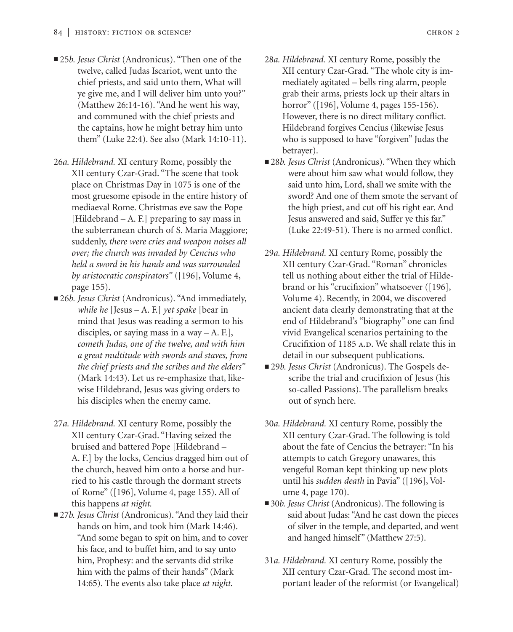- 25*b. Jesus Christ* (Andronicus). "Then one of the twelve, called Judas Iscariot, went unto the chief priests, and said unto them, What will ye give me, and I will deliver him unto you?" (Matthew 26:14-16). "And he went his way, and communed with the chief priests and the captains, how he might betray him unto them" (Luke 22:4). See also (Mark 14:10-11).
- 26*a. Hildebrand.* XI century Rome, possibly the XII century Czar-Grad. "The scene that took place on Christmas Day in 1075 is one of the most gruesome episode in the entire history of mediaeval Rome. Christmas eve saw the Pope [Hildebrand – A. F.] preparing to say mass in the subterranean church of S. Maria Maggiore; suddenly, *there were cries and weapon noises all over; the church was invaded by Cencius who held a sword in his hands and was surrounded by aristocratic conspirators"* ([196], Volume 4, page 155).
- 26*b. Jesus Christ* (Andronicus). "And immediately, *while he* [Jesus – A. F.] *yet spake* [bear in mind that Jesus was reading a sermon to his disciples, or saying mass in a way – A. F.], *cometh Judas, one of the twelve, and with him a great multitude with swords and staves, from the chief priests and the scribes and the elders"* (Mark 14:43). Let us re-emphasize that, likewise Hildebrand, Jesus was giving orders to his disciples when the enemy came.
- 27*a. Hildebrand.* XI century Rome, possibly the XII century Czar-Grad. "Having seized the bruised and battered Pope [Hildebrand – A. F.] by the locks, Cencius dragged him out of the church, heaved him onto a horse and hurried to his castle through the dormant streets of Rome" ([196], Volume 4, page 155). All of this happens *at night.*
- 27*b. Jesus Christ* (Andronicus). "And they laid their hands on him, and took him (Mark 14:46). "And some began to spit on him, and to cover his face, and to buffet him, and to say unto him, Prophesy: and the servants did strike him with the palms of their hands" (Mark 14:65). The events also take place *at night.*
- 28*a. Hildebrand.* XI century Rome, possibly the XII century Czar-Grad. "The whole city is immediately agitated – bells ring alarm, people grab their arms, priests lock up their altars in horror" ([196], Volume 4, pages 155-156). However, there is no direct military conflict. Hildebrand forgives Cencius (likewise Jesus who is supposed to have "forgiven" Judas the betrayer).
- 28*b. Jesus Christ* (Andronicus). "When they which were about him saw what would follow, they said unto him, Lord, shall we smite with the sword? And one of them smote the servant of the high priest, and cut off his right ear. And Jesus answered and said, Suffer ye this far." (Luke 22:49-51). There is no armed conflict.
- 29*a. Hildebrand.* XI century Rome, possibly the XII century Czar-Grad. "Roman" chronicles tell us nothing about either the trial of Hildebrand or his "crucifixion" whatsoever ([196], Volume 4). Recently, in 2004, we discovered ancient data clearly demonstrating that at the end of Hildebrand's "biography" one can find vivid Evangelical scenarios pertaining to the Crucifixion of 1185 A.D. We shall relate this in detail in our subsequent publications.
- 29*b. Jesus Christ* (Andronicus). The Gospels describe the trial and crucifixion of Jesus (his so-called Passions). The parallelism breaks out of synch here.
- 30*a. Hildebrand.* XI century Rome, possibly the XII century Czar-Grad. The following is told about the fate of Cencius the betrayer: "In his attempts to catch Gregory unawares, this vengeful Roman kept thinking up new plots until his *sudden death* in Pavia" ([196], Volume 4, page 170).
- 30*b. Jesus Christ* (Andronicus). The following is said about Judas: "And he cast down the pieces of silver in the temple, and departed, and went and hanged himself" (Matthew 27:5).
- 31*a. Hildebrand.* XI century Rome, possibly the XII century Czar-Grad. The second most important leader of the reformist (or Evangelical)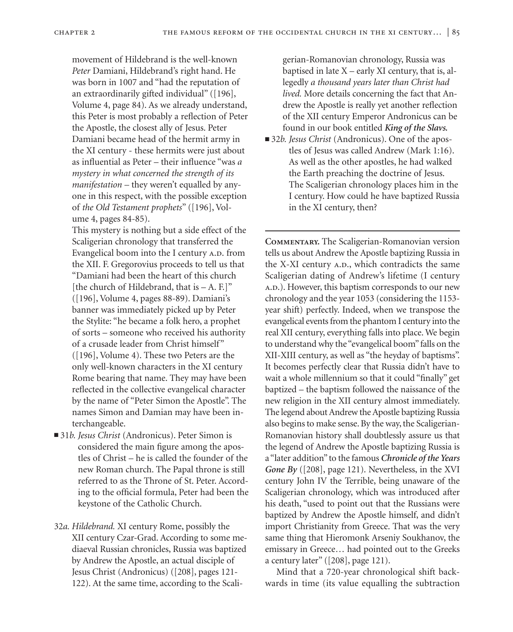chapter 2 the famous reform of the occidental church in the xi century… | 85

movement of Hildebrand is the well-known *Peter* Damiani, Hildebrand's right hand. He was born in 1007 and "had the reputation of an extraordinarily gifted individual" ([196], Volume 4, page 84). As we already understand, this Peter is most probably a reflection of Peter the Apostle, the closest ally of Jesus. Peter Damiani became head of the hermit army in the XI century - these hermits were just about as influential as Peter – their influence "was *a mystery in what concerned the strength of its manifestation –* they weren't equalled by anyone in this respect, with the possible exception of *the Old Testament prophets*" ([196], Volume 4, pages 84-85).

This mystery is nothing but a side effect of the Scaligerian chronology that transferred the Evangelical boom into the I century A.D. from the XII. F. Gregorovius proceeds to tell us that "Damiani had been the heart of this church [the church of Hildebrand, that is  $- A$ . F.]" ([196], Volume 4, pages 88-89). Damiani's banner was immediately picked up by Peter the Stylite: "he became a folk hero, a prophet of sorts – someone who received his authority of a crusade leader from Christ himself" ([196], Volume 4). These two Peters are the only well-known characters in the XI century Rome bearing that name. They may have been reflected in the collective evangelical character by the name of "Peter Simon the Apostle". The names Simon and Damian may have been interchangeable.

- 31*b. Jesus Christ* (Andronicus). Peter Simon is considered the main figure among the apostles of Christ – he is called the founder of the new Roman church. The Papal throne is still referred to as the Throne of St. Peter. According to the official formula, Peter had been the keystone of the Catholic Church.
- 32*a. Hildebrand.* XI century Rome, possibly the XII century Czar-Grad. According to some mediaeval Russian chronicles, Russia was baptized by Andrew the Apostle, an actual disciple of Jesus Christ (Andronicus) ([208], pages 121- 122). At the same time, according to the Scali-

gerian-Romanovian chronology, Russia was baptised in late  $X$  – early XI century, that is, allegedly *a thousand years later than Christ had lived.* More details concerning the fact that Andrew the Apostle is really yet another reflection of the XII century Emperor Andronicus can be found in our book entitled *King of the Slavs.*

■ 32*b. Jesus Christ* (Andronicus). One of the apostles of Jesus was called Andrew (Mark 1:16). As well as the other apostles, he had walked the Earth preaching the doctrine of Jesus. The Scaligerian chronology places him in the I century. How could he have baptized Russia in the XI century, then?

**Commentary.** The Scaligerian-Romanovian version tells us about Andrew the Apostle baptizing Russia in the X-XI century A.D., which contradicts the same Scaligerian dating of Andrew's lifetime (I century A.D.). However, this baptism corresponds to our new chronology and the year 1053 (considering the 1153 year shift) perfectly. Indeed, when we transpose the evangelical events from the phantom I century into the real XII century, everything falls into place. We begin to understand why the "evangelical boom" falls on the XII-XIII century, as well as "the heyday of baptisms". It becomes perfectly clear that Russia didn't have to wait a whole millennium so that it could "finally" get baptized – the baptism followed the naissance of the new religion in the XII century almost immediately. The legend about Andrew the Apostle baptizing Russia also begins to make sense. By the way, the Scaligerian-Romanovian history shall doubtlessly assure us that the legend of Andrew the Apostle baptizing Russia is a "later addition" to the famous *Chronicle of the Years Gone By* ([208], page 121). Nevertheless, in the XVI century John IV the Terrible, being unaware of the Scaligerian chronology, which was introduced after his death, "used to point out that the Russians were baptized by Andrew the Apostle himself, and didn't import Christianity from Greece. That was the very same thing that Hieromonk Arseniy Soukhanov, the emissary in Greece… had pointed out to the Greeks a century later" ([208], page 121).

Mind that a 720-year chronological shift backwards in time (its value equalling the subtraction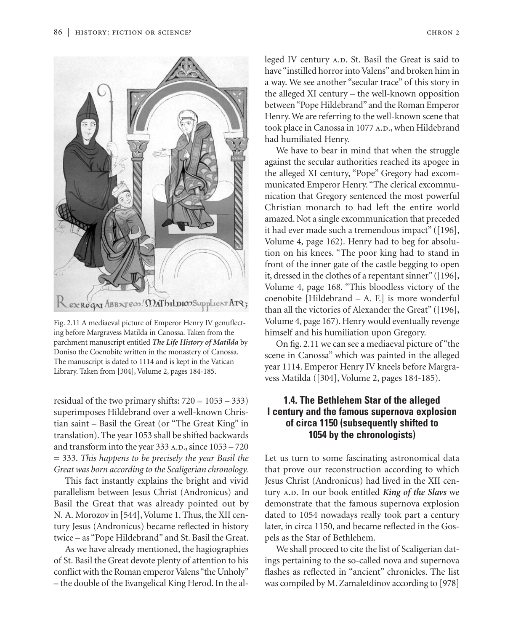

Fig. 2.11 A mediaeval picture of Emperor Henry IV genuflecting before Margravess Matilda in Canossa. Taken from the parchment manuscript entitled *The Life History of Matilda* by Doniso the Coenobite written in the monastery of Canossa. The manuscript is dated to 1114 and is kept in the Vatican Library. Taken from [304], Volume 2, pages 184-185.

residual of the two primary shifts: 720 = 1053 – 333) superimposes Hildebrand over a well-known Christian saint – Basil the Great (or "The Great King" in translation). The year 1053 shall be shifted backwards and transform into the year 333 A.D., since  $1053 - 720$ = 333. *This happens to be precisely the year Basil the Great was born according to the Scaligerian chronology.*

This fact instantly explains the bright and vivid parallelism between Jesus Christ (Andronicus) and Basil the Great that was already pointed out by N. A. Morozov in [544], Volume 1. Thus, the XII century Jesus (Andronicus) became reflected in history twice – as "Pope Hildebrand" and St. Basil the Great.

As we have already mentioned, the hagiographies of St. Basil the Great devote plenty of attention to his conflict with the Roman emperor Valens "the Unholy" – the double of the Evangelical King Herod. In the alleged IV century A.D. St. Basil the Great is said to have "instilled horror into Valens" and broken him in a way. We see another "secular trace" of this story in the alleged XI century – the well-known opposition between "Pope Hildebrand" and the Roman Emperor Henry. We are referring to the well-known scene that took place in Canossa in 1077 A.D., when Hildebrand had humiliated Henry.

We have to bear in mind that when the struggle against the secular authorities reached its apogee in the alleged XI century, "Pope" Gregory had excommunicated Emperor Henry. "The clerical excommunication that Gregory sentenced the most powerful Christian monarch to had left the entire world amazed. Not a single excommunication that preceded it had ever made such a tremendous impact" ([196], Volume 4, page 162). Henry had to beg for absolution on his knees. "The poor king had to stand in front of the inner gate of the castle begging to open it, dressed in the clothes of a repentant sinner" ([196], Volume 4, page 168. "This bloodless victory of the coenobite [Hildebrand – A. F.] is more wonderful than all the victories of Alexander the Great" ([196], Volume 4, page 167). Henry would eventually revenge himself and his humiliation upon Gregory.

On fig. 2.11 we can see a mediaeval picture of "the scene in Canossa" which was painted in the alleged year 1114. Emperor Henry IV kneels before Margravess Matilda ([304], Volume 2, pages 184-185).

## **1.4. The Bethlehem Star of the alleged I century and the famous supernova explosion of circa 1150 (subsequently shifted to 1054 by the chronologists)**

Let us turn to some fascinating astronomical data that prove our reconstruction according to which Jesus Christ (Andronicus) had lived in the XII century A.D. In our book entitled *King of the Slavs* we demonstrate that the famous supernova explosion dated to 1054 nowadays really took part a century later, in circa 1150, and became reflected in the Gospels as the Star of Bethlehem.

We shall proceed to cite the list of Scaligerian datings pertaining to the so-called nova and supernova flashes as reflected in "ancient" chronicles. The list was compiled by M. Zamaletdinov according to [978]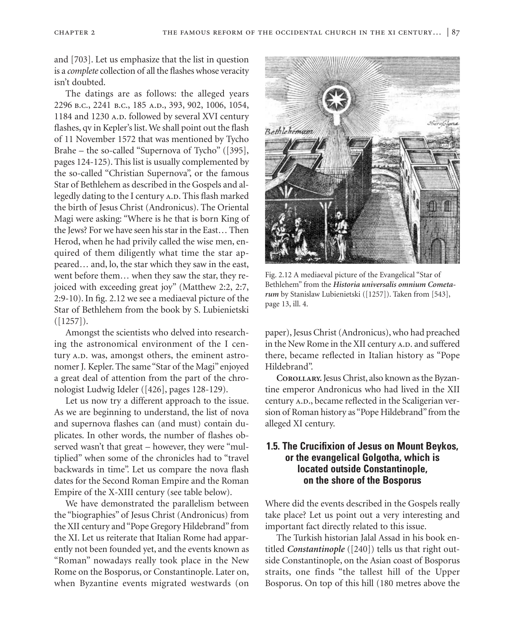and [703]. Let us emphasize that the list in question is a *complete* collection of all the flashes whose veracity isn't doubted.

The datings are as follows: the alleged years 2296 b.c., 2241 b.c., 185 a.d., 393, 902, 1006, 1054, 1184 and 1230 A.D. followed by several XVI century flashes, qv in Kepler's list. We shall point out the flash of 11 November 1572 that was mentioned by Tycho Brahe – the so-called "Supernova of Tycho" ([395], pages 124-125). This list is usually complemented by the so-called "Christian Supernova", or the famous Star of Bethlehem as described in the Gospels and allegedly dating to the I century A.D. This flash marked the birth of Jesus Christ (Andronicus). The Oriental Magi were asking: "Where is he that is born King of the Jews? For we have seen his star in the East… Then Herod, when he had privily called the wise men, enquired of them diligently what time the star appeared… and, lo, the star which they saw in the east, went before them… when they saw the star, they rejoiced with exceeding great joy" (Matthew 2:2, 2:7, 2:9-10). In fig. 2.12 we see a mediaeval picture of the Star of Bethlehem from the book by S. Lubienietski  $([1257]).$ 

Amongst the scientists who delved into researching the astronomical environment of the I century A.D. was, amongst others, the eminent astronomer J. Kepler. The same "Star of the Magi" enjoyed a great deal of attention from the part of the chronologist Ludwig Ideler ([426], pages 128-129).

Let us now try a different approach to the issue. As we are beginning to understand, the list of nova and supernova flashes can (and must) contain duplicates. In other words, the number of flashes observed wasn't that great – however, they were "multiplied" when some of the chronicles had to "travel backwards in time". Let us compare the nova flash dates for the Second Roman Empire and the Roman Empire of the X-XIII century (see table below).

We have demonstrated the parallelism between the "biographies" of Jesus Christ (Andronicus) from the XII century and "Pope Gregory Hildebrand" from the XI. Let us reiterate that Italian Rome had apparently not been founded yet, and the events known as "Roman" nowadays really took place in the New Rome on the Bosporus, or Constantinople. Later on, when Byzantine events migrated westwards (on



Fig. 2.12 A mediaeval picture of the Evangelical "Star of Bethlehem" from the *Historia universalis omnium Cometarum* by Stanislaw Lubienietski ([1257]). Taken from [543], page 13, ill. 4.

paper), Jesus Christ (Andronicus), who had preached in the New Rome in the XII century A.D. and suffered there, became reflected in Italian history as "Pope Hildebrand".

**Corollary.**Jesus Christ, also known as the Byzantine emperor Andronicus who had lived in the XII century A.D., became reflected in the Scaligerian version of Roman history as "Pope Hildebrand" from the alleged XI century.

## **1.5. The Crucifixion of Jesus on Mount Beykos, or the evangelical Golgotha, which is located outside Constantinople, on the shore of the Bosporus**

Where did the events described in the Gospels really take place? Let us point out a very interesting and important fact directly related to this issue.

The Turkish historian Jalal Assad in his book entitled *Constantinople* ([240]) tells us that right outside Constantinople, on the Asian coast of Bosporus straits, one finds "the tallest hill of the Upper Bosporus. On top of this hill (180 metres above the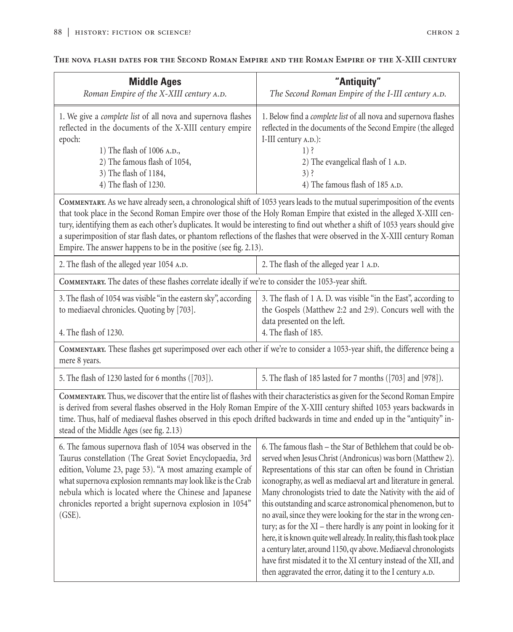| <b>Middle Ages</b>                                                                                                                                                                                                                                                                                                                                                                                                                                                                                                                                                                           | "Antiquity"                                                                                                                                                                                                                                                                                                                                                                                                                                                                                                                                                                                                                                                                                                                                                                                                               |
|----------------------------------------------------------------------------------------------------------------------------------------------------------------------------------------------------------------------------------------------------------------------------------------------------------------------------------------------------------------------------------------------------------------------------------------------------------------------------------------------------------------------------------------------------------------------------------------------|---------------------------------------------------------------------------------------------------------------------------------------------------------------------------------------------------------------------------------------------------------------------------------------------------------------------------------------------------------------------------------------------------------------------------------------------------------------------------------------------------------------------------------------------------------------------------------------------------------------------------------------------------------------------------------------------------------------------------------------------------------------------------------------------------------------------------|
| Roman Empire of the X-XIII century A.D.                                                                                                                                                                                                                                                                                                                                                                                                                                                                                                                                                      | The Second Roman Empire of the I-III century A.D.                                                                                                                                                                                                                                                                                                                                                                                                                                                                                                                                                                                                                                                                                                                                                                         |
| 1. We give a complete list of all nova and supernova flashes<br>reflected in the documents of the X-XIII century empire<br>epoch:<br>1) The flash of 1006 A.D.,<br>2) The famous flash of 1054,<br>3) The flash of 1184,<br>4) The flash of 1230.                                                                                                                                                                                                                                                                                                                                            | 1. Below find a complete list of all nova and supernova flashes<br>reflected in the documents of the Second Empire (the alleged<br>I-III century A.D.):<br>$1)$ ?<br>2) The evangelical flash of 1 A.D.<br>$3)$ ?<br>4) The famous flash of 185 A.D.                                                                                                                                                                                                                                                                                                                                                                                                                                                                                                                                                                      |
| COMMENTARY. As we have already seen, a chronological shift of 1053 years leads to the mutual superimposition of the events<br>that took place in the Second Roman Empire over those of the Holy Roman Empire that existed in the alleged X-XIII cen-<br>tury, identifying them as each other's duplicates. It would be interesting to find out whether a shift of 1053 years should give<br>a superimposition of star flash dates, or phantom reflections of the flashes that were observed in the X-XIII century Roman<br>Empire. The answer happens to be in the positive (see fig. 2.13). |                                                                                                                                                                                                                                                                                                                                                                                                                                                                                                                                                                                                                                                                                                                                                                                                                           |
| 2. The flash of the alleged year 1054 A.D.                                                                                                                                                                                                                                                                                                                                                                                                                                                                                                                                                   | 2. The flash of the alleged year 1 A.D.                                                                                                                                                                                                                                                                                                                                                                                                                                                                                                                                                                                                                                                                                                                                                                                   |
| COMMENTARY. The dates of these flashes correlate ideally if we're to consider the 1053-year shift.                                                                                                                                                                                                                                                                                                                                                                                                                                                                                           |                                                                                                                                                                                                                                                                                                                                                                                                                                                                                                                                                                                                                                                                                                                                                                                                                           |
| 3. The flash of 1054 was visible "in the eastern sky", according<br>to mediaeval chronicles. Quoting by [703].<br>4. The flash of 1230.                                                                                                                                                                                                                                                                                                                                                                                                                                                      | 3. The flash of 1 A. D. was visible "in the East", according to<br>the Gospels (Matthew 2:2 and 2:9). Concurs well with the<br>data presented on the left.<br>4. The flash of 185.                                                                                                                                                                                                                                                                                                                                                                                                                                                                                                                                                                                                                                        |
| COMMENTARY. These flashes get superimposed over each other if we're to consider a 1053-year shift, the difference being a<br>mere 8 years.                                                                                                                                                                                                                                                                                                                                                                                                                                                   |                                                                                                                                                                                                                                                                                                                                                                                                                                                                                                                                                                                                                                                                                                                                                                                                                           |
| 5. The flash of 1230 lasted for 6 months ([703]).                                                                                                                                                                                                                                                                                                                                                                                                                                                                                                                                            | 5. The flash of 185 lasted for 7 months ([703] and [978]).                                                                                                                                                                                                                                                                                                                                                                                                                                                                                                                                                                                                                                                                                                                                                                |
| COMMENTARY. Thus, we discover that the entire list of flashes with their characteristics as given for the Second Roman Empire<br>is derived from several flashes observed in the Holy Roman Empire of the X-XIII century shifted 1053 years backwards in<br>time. Thus, half of mediaeval flashes observed in this epoch drifted backwards in time and ended up in the "antiquity" in-<br>stead of the Middle Ages (see fig. 2.13)                                                                                                                                                           |                                                                                                                                                                                                                                                                                                                                                                                                                                                                                                                                                                                                                                                                                                                                                                                                                           |
| 6. The famous supernova flash of 1054 was observed in the<br>Taurus constellation (The Great Soviet Encyclopaedia, 3rd<br>edition, Volume 23, page 53). "A most amazing example of<br>what supernova explosion remnants may look like is the Crab<br>nebula which is located where the Chinese and Japanese<br>chronicles reported a bright supernova explosion in 1054"<br>$(GSE)$ .                                                                                                                                                                                                        | 6. The famous flash – the Star of Bethlehem that could be ob-<br>served when Jesus Christ (Andronicus) was born (Matthew 2).<br>Representations of this star can often be found in Christian<br>iconography, as well as mediaeval art and literature in general.<br>Many chronologists tried to date the Nativity with the aid of<br>this outstanding and scarce astronomical phenomenon, but to<br>no avail, since they were looking for the star in the wrong cen-<br>tury; as for the XI - there hardly is any point in looking for it<br>here, it is known quite well already. In reality, this flash took place<br>a century later, around 1150, qv above. Mediaeval chronologists<br>have first misdated it to the XI century instead of the XII, and<br>then aggravated the error, dating it to the I century A.D. |

## **The nova flash dates for the Second Roman Empire and the Roman Empire of the X-XIII century**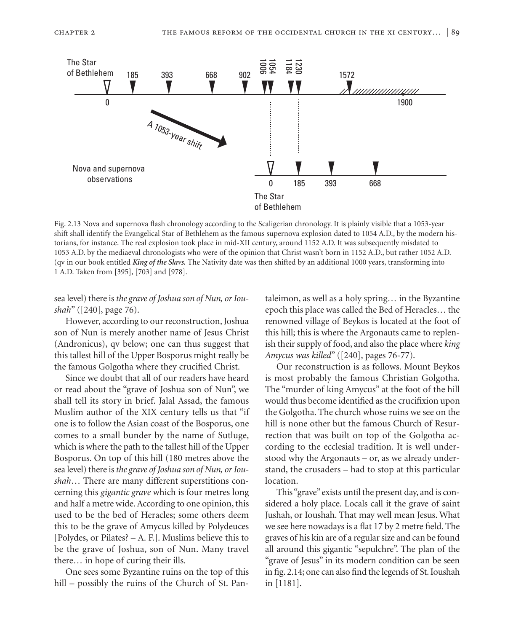

Fig. 2.13 Nova and supernova flash chronology according to the Scaligerian chronology. It is plainly visible that a 1053-year shift shall identify the Evangelical Star of Bethlehem as the famous supernova explosion dated to 1054 A.D., by the modern historians, for instance. The real explosion took place in mid-XII century, around 1152 A.D. It was subsequently misdated to 1053 A.D. by the mediaeval chronologists who were of the opinion that Christ wasn't born in 1152 A.D., but rather 1052 A.D. (qv in our book entitled *King of the Slavs.* The Nativity date was then shifted by an additional 1000 years, transforming into 1 A.D. Taken from [395], [703] and [978].

sea level) there is *the grave of Joshua son of Nun, or Ioushah*" ([240], page 76).

However, according to our reconstruction, Joshua son of Nun is merely another name of Jesus Christ (Andronicus), qv below; one can thus suggest that this tallest hill of the Upper Bosporus might really be the famous Golgotha where they crucified Christ.

Since we doubt that all of our readers have heard or read about the "grave of Joshua son of Nun", we shall tell its story in brief. Jalal Assad, the famous Muslim author of the XIX century tells us that "if one is to follow the Asian coast of the Bosporus, one comes to a small bunder by the name of Sutluge, which is where the path to the tallest hill of the Upper Bosporus. On top of this hill (180 metres above the sea level) there is *the grave of Joshua son of Nun, or Ioushah*… There are many different superstitions concerning this *gigantic grave* which is four metres long and half a metre wide. According to one opinion, this used to be the bed of Heracles; some others deem this to be the grave of Amycus killed by Polydeuces [Polydes, or Pilates? – A. F.]. Muslims believe this to be the grave of Joshua, son of Nun. Many travel there… in hope of curing their ills.

One sees some Byzantine ruins on the top of this hill – possibly the ruins of the Church of St. Pantaleimon, as well as a holy spring… in the Byzantine epoch this place was called the Bed of Heracles… the renowned village of Beykos is located at the foot of this hill; this is where the Argonauts came to replenish their supply of food, and also the place where *king Amycus was killed*" ([240], pages 76-77).

Our reconstruction is as follows. Mount Beykos is most probably the famous Christian Golgotha. The "murder of king Amycus" at the foot of the hill would thus become identified as the crucifixion upon the Golgotha. The church whose ruins we see on the hill is none other but the famous Church of Resurrection that was built on top of the Golgotha according to the ecclesial tradition. It is well understood why the Argonauts – or, as we already understand, the crusaders – had to stop at this particular location.

This "grave" exists until the present day, and is considered a holy place. Locals call it the grave of saint Jushah, or Ioushah. That may well mean Jesus. What we see here nowadays is a flat 17 by 2 metre field. The graves of his kin are of a regular size and can be found all around this gigantic "sepulchre". The plan of the "grave of Jesus" in its modern condition can be seen in fig. 2.14; one can also find the legends of St. Ioushah in [1181].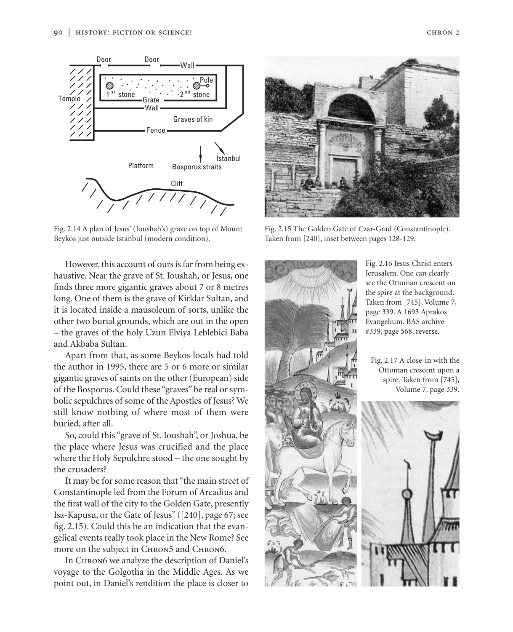

Fig. 2.14 A plan of Jesus' (Ioushah's) grave on top of Mount Beykos just outside Istanbul (modern condition).

However, this account of ours is far from being exhaustive. Near the grave of St. Ioushah, or Jesus, one finds three more gigantic graves about 7 or 8 metres long. One of them is the grave of Kirklar Sultan, and it is located inside a mausoleum of sorts, unlike the other two burial grounds, which are out in the open – the graves of the holy Uzun Elviya Leblebici Baba and Akbaba Sultan.

Apart from that, as some Beykos locals had told the author in 1995, there are 5 or 6 more or similar gigantic graves of saints on the other (European) side of the Bosporus. Could these "graves" be real or symbolic sepulchres of some of the Apostles of Jesus? We still know nothing of where most of them were buried, after all.

So, could this "grave of St. Ioushah", or Joshua, be the place where Jesus was crucified and the place where the Holy Sepulchre stood – the one sought by the crusaders?

It may be for some reason that "the main street of Constantinople led from the Forum of Arcadius and the first wall of the city to the Golden Gate, presently Isa-Kapusu, or the Gate of Jesus" ([240], page 67; see fig. 2.15). Could this be an indication that the evangelical events really took place in the New Rome? See more on the subject in CHRON5 and CHRON6.

In CHRON6 we analyze the description of Daniel's voyage to the Golgotha in the Middle Ages. As we point out, in Daniel's rendition the place is closer to



Fig. 2.15 The Golden Gate of Czar-Grad (Constantinople). Taken from [240], inset between pages 128-129.



Fig. 2.16 Jesus Christ enters Jerusalem. One can clearly see the Ottoman crescent on the spire at the background. Taken from [745], Volume 7, page 339. A 1693 Aprakos Evangelium. BAS archive #339, page 568, reverse.

Fig. 2.17 A close-in with the Ottoman crescent upon a spire. Taken from [745], Volume 7, page 339.

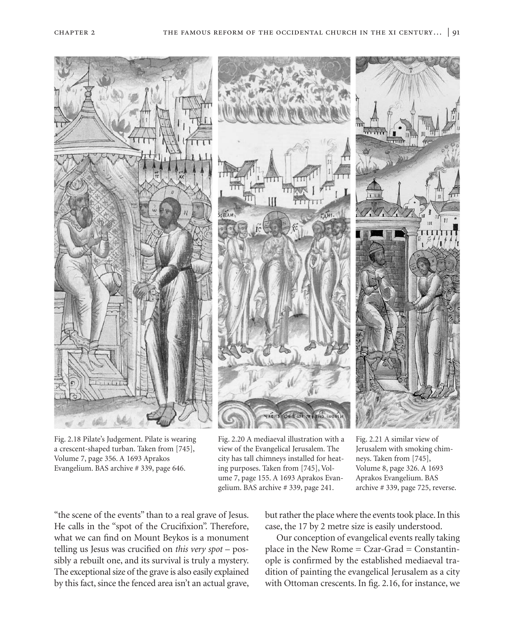

a crescent-shaped turban. Taken from [745], Volume 7, page 356. A 1693 Aprakos Evangelium. BAS archive # 339, page 646.

view of the Evangelical Jerusalem. The city has tall chimneys installed for heating purposes. Taken from [745], Volume 7, page 155. A 1693 Aprakos Evangelium. BAS archive # 339, page 241.

Jerusalem with smoking chimneys. Taken from [745], Volume 8, page 326. A 1693 Aprakos Evangelium. BAS archive # 339, page 725, reverse.

"the scene of the events" than to a real grave of Jesus. He calls in the "spot of the Crucifixion". Therefore, what we can find on Mount Beykos is a monument telling us Jesus was crucified on *this very spot* – possibly a rebuilt one, and its survival is truly a mystery. The exceptional size of the grave is also easily explained by this fact, since the fenced area isn't an actual grave,

but rather the place where the events took place. In this case, the 17 by 2 metre size is easily understood.

Our conception of evangelical events really taking place in the New Rome  $=$  Czar-Grad  $=$  Constantinople is confirmed by the established mediaeval tradition of painting the evangelical Jerusalem as a city with Ottoman crescents. In fig. 2.16, for instance, we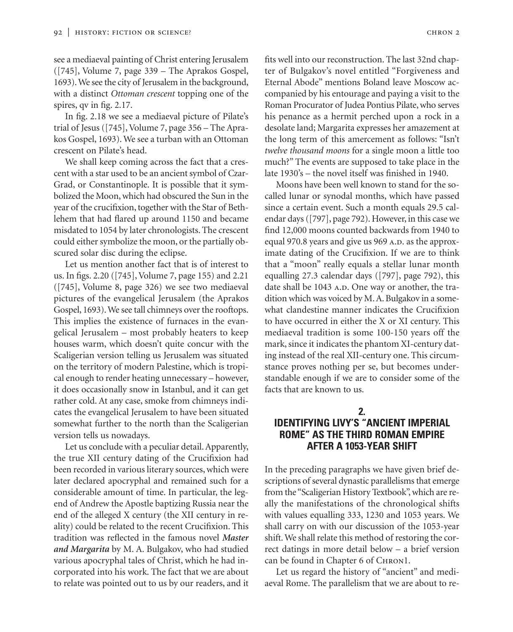see a mediaeval painting of Christ entering Jerusalem ([745], Volume 7, page 339 – The Aprakos Gospel, 1693). We see the city of Jerusalem in the background, with a distinct *Ottoman crescent* topping one of the spires, qv in fig. 2.17.

In fig. 2.18 we see a mediaeval picture of Pilate's trial of Jesus ([745], Volume 7, page 356 – The Aprakos Gospel, 1693). We see a turban with an Ottoman crescent on Pilate's head.

We shall keep coming across the fact that a crescent with a star used to be an ancient symbol of Czar-Grad, or Constantinople. It is possible that it symbolized the Moon, which had obscured the Sun in the year of the crucifixion, together with the Star of Bethlehem that had flared up around 1150 and became misdated to 1054 by later chronologists. The crescent could either symbolize the moon, or the partially obscured solar disc during the eclipse.

Let us mention another fact that is of interest to us. In figs. 2.20 ([745], Volume 7, page 155) and 2.21 ([745], Volume 8, page 326) we see two mediaeval pictures of the evangelical Jerusalem (the Aprakos Gospel, 1693). We see tall chimneys over the rooftops. This implies the existence of furnaces in the evangelical Jerusalem – most probably heaters to keep houses warm, which doesn't quite concur with the Scaligerian version telling us Jerusalem was situated on the territory of modern Palestine, which is tropical enough to render heating unnecessary – however, it does occasionally snow in Istanbul, and it can get rather cold. At any case, smoke from chimneys indicates the evangelical Jerusalem to have been situated somewhat further to the north than the Scaligerian version tells us nowadays.

Let us conclude with a peculiar detail. Apparently, the true XII century dating of the Crucifixion had been recorded in various literary sources, which were later declared apocryphal and remained such for a considerable amount of time. In particular, the legend of Andrew the Apostle baptizing Russia near the end of the alleged X century (the XII century in reality) could be related to the recent Crucifixion. This tradition was reflected in the famous novel *Master and Margarita* by M. A. Bulgakov, who had studied various apocryphal tales of Christ, which he had incorporated into his work. The fact that we are about to relate was pointed out to us by our readers, and it fits well into our reconstruction. The last 32nd chapter of Bulgakov's novel entitled "Forgiveness and Eternal Abode" mentions Boland leave Moscow accompanied by his entourage and paying a visit to the Roman Procurator of Judea Pontius Pilate, who serves his penance as a hermit perched upon a rock in a desolate land; Margarita expresses her amazement at the long term of this amercement as follows: "Isn't *twelve thousand moons* for a single moon a little too much?" The events are supposed to take place in the late 1930's – the novel itself was finished in 1940.

Moons have been well known to stand for the socalled lunar or synodal months, which have passed since a certain event. Such a month equals 29.5 calendar days ([797], page 792). However, in this case we find 12,000 moons counted backwards from 1940 to equal 970.8 years and give us 969 A.D. as the approximate dating of the Crucifixion. If we are to think that a "moon" really equals a stellar lunar month equalling 27.3 calendar days ([797], page 792), this date shall be 1043 A.D. One way or another, the tradition which was voiced by M. A. Bulgakov in a somewhat clandestine manner indicates the Crucifixion to have occurred in either the X or XI century. This mediaeval tradition is some 100-150 years off the mark, since it indicates the phantom XI-century dating instead of the real XII-century one. This circumstance proves nothing per se, but becomes understandable enough if we are to consider some of the facts that are known to us.

## **2. IDENTIFYING LIVY'S "ANCIENT IMPERIAL ROME" AS THE THIRD ROMAN EMPIRE AFTER A 1053-YEAR SHIFT**

In the preceding paragraphs we have given brief descriptions of several dynastic parallelisms that emerge from the "Scaligerian History Textbook", which are really the manifestations of the chronological shifts with values equalling 333, 1230 and 1053 years. We shall carry on with our discussion of the 1053-year shift. We shall relate this method of restoring the correct datings in more detail below – a brief version can be found in Chapter 6 of CHRON1.

Let us regard the history of "ancient" and mediaeval Rome. The parallelism that we are about to re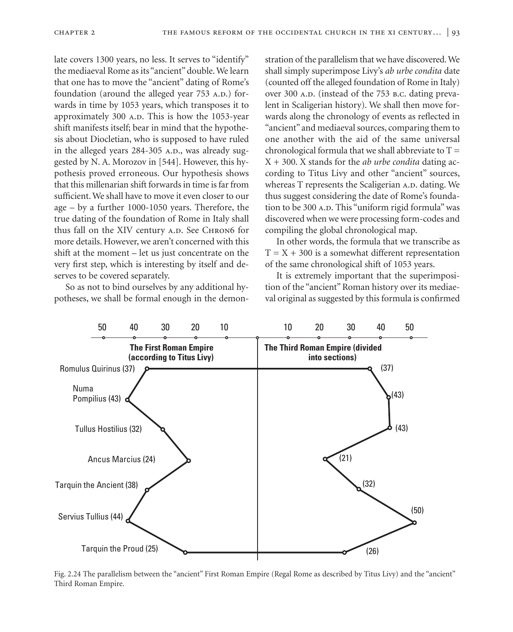late covers 1300 years, no less. It serves to "identify" the mediaeval Rome as its "ancient" double. We learn that one has to move the "ancient" dating of Rome's foundation (around the alleged year 753 A.D.) forwards in time by 1053 years, which transposes it to approximately 300 A.D. This is how the 1053-year shift manifests itself; bear in mind that the hypothesis about Diocletian, who is supposed to have ruled in the alleged years 284-305 A.D., was already suggested by N. A. Morozov in [544]. However, this hypothesis proved erroneous. Our hypothesis shows that this millenarian shift forwards in time is far from sufficient. We shall have to move it even closer to our age – by a further 1000-1050 years. Therefore, the true dating of the foundation of Rome in Italy shall thus fall on the XIV century A.D. See CHRON6 for more details. However, we aren't concerned with this shift at the moment – let us just concentrate on the very first step, which is interesting by itself and deserves to be covered separately.

So as not to bind ourselves by any additional hypotheses, we shall be formal enough in the demonstration of the parallelism that we have discovered. We shall simply superimpose Livy's *ab urbe condita* date (counted off the alleged foundation of Rome in Italy) over 300 A.D. (instead of the 753 B.C. dating prevalent in Scaligerian history). We shall then move forwards along the chronology of events as reflected in "ancient" and mediaeval sources, comparing them to one another with the aid of the same universal chronological formula that we shall abbreviate to  $T =$ X + 300. X stands for the *ab urbe condita* dating according to Titus Livy and other "ancient" sources, whereas T represents the Scaligerian A.D. dating. We thus suggest considering the date of Rome's foundation to be 300 A.D. This "uniform rigid formula" was discovered when we were processing form-codes and compiling the global chronological map.

In other words, the formula that we transcribe as  $T = X + 300$  is a somewhat different representation of the same chronological shift of 1053 years.

It is extremely important that the superimposition of the "ancient" Roman history over its mediaeval original as suggested by this formula is confirmed



Fig. 2.24 The parallelism between the "ancient" First Roman Empire (Regal Rome as described by Titus Livy) and the "ancient" Third Roman Empire.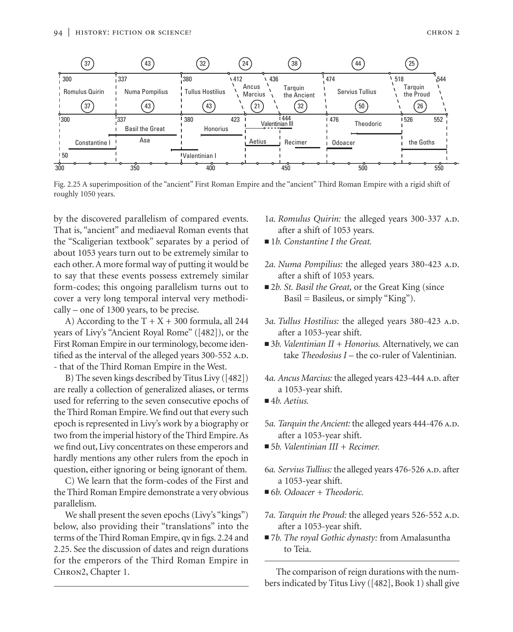

Fig. 2.25 A superimposition of the "ancient" First Roman Empire and the "ancient" Third Roman Empire with a rigid shift of roughly 1050 years.

by the discovered parallelism of compared events. That is, "ancient" and mediaeval Roman events that the "Scaligerian textbook" separates by a period of about 1053 years turn out to be extremely similar to each other. A more formal way of putting it would be to say that these events possess extremely similar form-codes; this ongoing parallelism turns out to cover a very long temporal interval very methodically – one of 1300 years, to be precise.

A) According to the  $T + X + 300$  formula, all 244 years of Livy's "Ancient Royal Rome" ([482]), or the First Roman Empire in our terminology, become identified as the interval of the alleged years 300-552 A.D. - that of the Third Roman Empire in the West.

B) The seven kings described by Titus Livy ([482]) are really a collection of generalized aliases, or terms used for referring to the seven consecutive epochs of the Third Roman Empire. We find out that every such epoch is represented in Livy's work by a biography or two from the imperial history of the Third Empire. As we find out, Livy concentrates on these emperors and hardly mentions any other rulers from the epoch in question, either ignoring or being ignorant of them.

C) We learn that the form-codes of the First and the Third Roman Empire demonstrate a very obvious parallelism.

We shall present the seven epochs (Livy's "kings") below, also providing their "translations" into the terms of the Third Roman Empire, qv in figs. 2.24 and 2.25. See the discussion of dates and reign durations for the emperors of the Third Roman Empire in CHRON2, Chapter 1.

- 1*a. Romulus Quirin:* the alleged years 300-337 A.D. after a shift of 1053 years.
- 1*b. Constantine I the Great.*
- 2*a. Numa Pompilius:* the alleged years 380-423 A.D. after a shift of 1053 years.
- 2*b. St. Basil the Great*, or the Great King (since Basil = Basileus, or simply "King").
- 3*a. Tullus Hostilius: the alleged years 380-423 A.D.* after a 1053-year shift.
- 3*b. Valentinian II + Honorius.* Alternatively, we can take *Theodosius I –* the co-ruler of Valentinian.
- 4*a. Ancus Marcius:* the alleged years 423-444 A.D. after a 1053-year shift.
- 4*b. Aetius.*
- 5*a. Tarquin the Ancient:* the alleged years 444-476 A.D. after a 1053-year shift.
- 5*b. Valentinian III + Recimer.*
- 6*a. Servius Tullius:* the alleged years 476-526 A.D. after a 1053-year shift.
- 6*b. Odoacer + Theodoric.*
- 7*a. Tarquin the Proud:* the alleged years 526-552 A.D. after a 1053-year shift.
- 7*b. The royal Gothic dynasty:* from Amalasuntha to Teia.

The comparison of reign durations with the numbers indicated by Titus Livy ([482], Book 1) shall give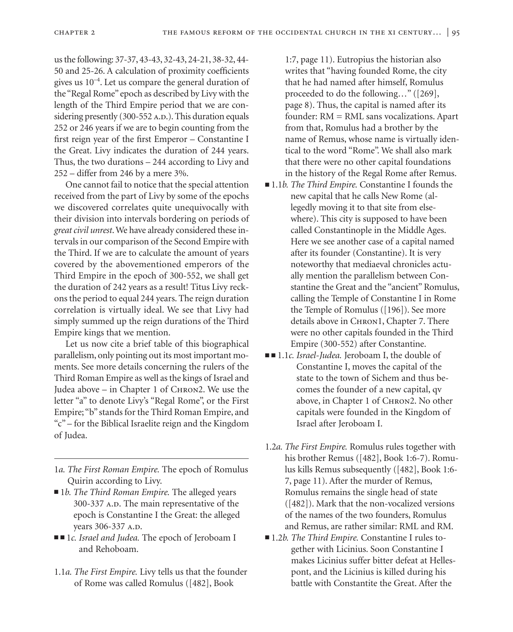us the following: 37-37, 43-43, 32-43, 24-21, 38-32, 44- 50 and 25-26. A calculation of proximity coefficients gives us 10–4. Let us compare the general duration of the "Regal Rome" epoch as described by Livy with the length of the Third Empire period that we are considering presently (300-552 A.D.). This duration equals 252 or 246 years if we are to begin counting from the first reign year of the first Emperor – Constantine I the Great. Livy indicates the duration of 244 years. Thus, the two durations – 244 according to Livy and 252 – differ from 246 by a mere 3%.

One cannot fail to notice that the special attention received from the part of Livy by some of the epochs we discovered correlates quite unequivocally with their division into intervals bordering on periods of *great civil unrest*. We have already considered these intervals in our comparison of the Second Empire with the Third. If we are to calculate the amount of years covered by the abovementioned emperors of the Third Empire in the epoch of 300-552, we shall get the duration of 242 years as a result! Titus Livy reckons the period to equal 244 years. The reign duration correlation is virtually ideal. We see that Livy had simply summed up the reign durations of the Third Empire kings that we mention.

Let us now cite a brief table of this biographical parallelism, only pointing out its most important moments. See more details concerning the rulers of the Third Roman Empire as well as the kings of Israel and Judea above – in Chapter 1 of Chron2. We use the letter "a" to denote Livy's "Regal Rome", or the First Empire; "b" stands for the Third Roman Empire, and "c" – for the Biblical Israelite reign and the Kingdom of Judea.

- 1*a. The First Roman Empire.* The epoch of Romulus Quirin according to Livy.
- 1*b. The Third Roman Empire*. The alleged years 300-337 A.D. The main representative of the epoch is Constantine I the Great: the alleged years 306-337 A.D.
- 1*c. Israel and Judea*. The epoch of Jeroboam I and Rehoboam.
- 1.1*a. The First Empire.* Livy tells us that the founder of Rome was called Romulus ([482], Book

1:7, page 11). Eutropius the historian also writes that "having founded Rome, the city that he had named after himself, Romulus proceeded to do the following…" ([269], page 8). Thus, the capital is named after its founder: RM = RML sans vocalizations. Apart from that, Romulus had a brother by the name of Remus, whose name is virtually identical to the word "Rome". We shall also mark that there were no other capital foundations in the history of the Regal Rome after Remus.

- 1.1*b. The Third Empire.* Constantine I founds the new capital that he calls New Rome (allegedly moving it to that site from elsewhere). This city is supposed to have been called Constantinople in the Middle Ages. Here we see another case of a capital named after its founder (Constantine). It is very noteworthy that mediaeval chronicles actually mention the parallelism between Constantine the Great and the "ancient" Romulus, calling the Temple of Constantine I in Rome the Temple of Romulus ([196]). See more details above in Chron1, Chapter 7. There were no other capitals founded in the Third Empire (300-552) after Constantine.
- ■■ 1.1*c. Israel-Judea*. Jeroboam I, the double of Constantine I, moves the capital of the state to the town of Sichem and thus becomes the founder of a new capital, qv above, in Chapter 1 of Chron2. No other capitals were founded in the Kingdom of Israel after Jeroboam I.
- 1.2*a. The First Empire.* Romulus rules together with his brother Remus ([482], Book 1:6-7). Romulus kills Remus subsequently ([482], Book 1:6- 7, page 11). After the murder of Remus, Romulus remains the single head of state ([482]). Mark that the non-vocalized versions of the names of the two founders, Romulus and Remus, are rather similar: RML and RM.
- 1.2*b. The Third Empire*. Constantine I rules together with Licinius. Soon Constantine I makes Licinius suffer bitter defeat at Hellespont, and the Licinius is killed during his battle with Constantite the Great. After the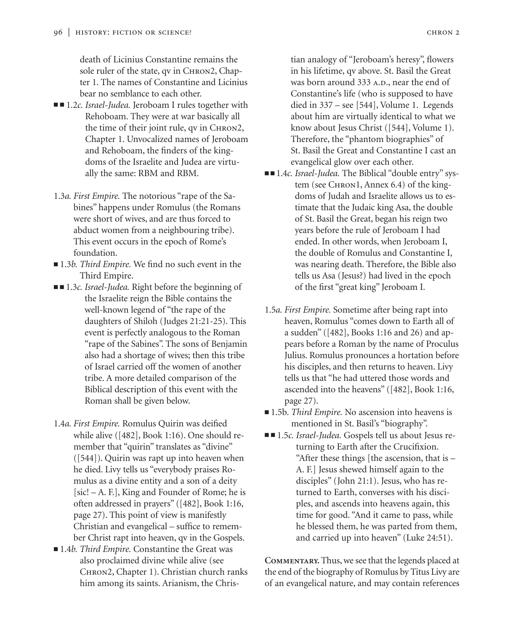death of Licinius Constantine remains the sole ruler of the state, qv in CHRON2, Chapter 1. The names of Constantine and Licinius bear no semblance to each other.

- ■ 1.2*c. Israel-Judea*. Jeroboam I rules together with Rehoboam. They were at war basically all the time of their joint rule, qv in CHRON2, Chapter 1. Unvocalized names of Jeroboam and Rehoboam, the finders of the kingdoms of the Israelite and Judea are virtually the same: RBM and RBM.
- 1.3*a. First Empire.* The notorious "rape of the Sabines" happens under Romulus (the Romans were short of wives, and are thus forced to abduct women from a neighbouring tribe). This event occurs in the epoch of Rome's foundation.
- 1.3*b. Third Empire*. We find no such event in the Third Empire.
- ■■ 1.3*c. Israel-Judea*. Right before the beginning of the Israelite reign the Bible contains the well-known legend of "the rape of the daughters of Shiloh (Judges 21:21-25). This event is perfectly analogous to the Roman "rape of the Sabines". The sons of Benjamin also had a shortage of wives; then this tribe of Israel carried off the women of another tribe. A more detailed comparison of the Biblical description of this event with the Roman shall be given below.
- 1.4*a. First Empire.* Romulus Quirin was deified while alive ([482], Book 1:16). One should remember that "quirin" translates as "divine" ([544]). Quirin was rapt up into heaven when he died. Livy tells us "everybody praises Romulus as a divine entity and a son of a deity [sic! – A. F.], King and Founder of Rome; he is often addressed in prayers" ([482], Book 1:16, page 27). This point of view is manifestly Christian and evangelical – suffice to remember Christ rapt into heaven, qv in the Gospels.
- 1.4*b. Third Empire.* Constantine the Great was also proclaimed divine while alive (see CHRON2, Chapter 1). Christian church ranks him among its saints. Arianism, the Chris-

tian analogy of "Jeroboam's heresy", flowers in his lifetime, qv above. St. Basil the Great was born around 333 A.D., near the end of Constantine's life (who is supposed to have died in 337 – see [544], Volume 1. Legends about him are virtually identical to what we know about Jesus Christ ([544], Volume 1). Therefore, the "phantom biographies" of St. Basil the Great and Constantine I cast an evangelical glow over each other.

- ■■ 1.4*c. Israel-Judea*. The Biblical "double entry" system (see CHRON1, Annex 6.4) of the kingdoms of Judah and Israelite allows us to estimate that the Judaic king Asa, the double of St. Basil the Great, began his reign two years before the rule of Jeroboam I had ended. In other words, when Jeroboam I, the double of Romulus and Constantine I, was nearing death. Therefore, the Bible also tells us Asa (Jesus?) had lived in the epoch of the first "great king" Jeroboam I.
- 1.5*a. First Empire.* Sometime after being rapt into heaven, Romulus "comes down to Earth all of a sudden" ([482], Books 1:16 and 26) and appears before a Roman by the name of Proculus Julius. Romulus pronounces a hortation before his disciples, and then returns to heaven. Livy tells us that "he had uttered those words and ascended into the heavens" ([482], Book 1:16, page 27).
- 1.5b. *Third Empire*. No ascension into heavens is mentioned in St. Basil's "biography".
- ■■ 1.5*c. Israel-Judea*. Gospels tell us about Jesus returning to Earth after the Crucifixion. "After these things [the ascension, that is  $-$ A. F.] Jesus shewed himself again to the disciples" (John 21:1). Jesus, who has returned to Earth, converses with his disciples, and ascends into heavens again, this time for good. "And it came to pass, while he blessed them, he was parted from them, and carried up into heaven" (Luke 24:51).

**Commentary.**Thus, we see that the legends placed at the end of the biography of Romulus by Titus Livy are of an evangelical nature, and may contain references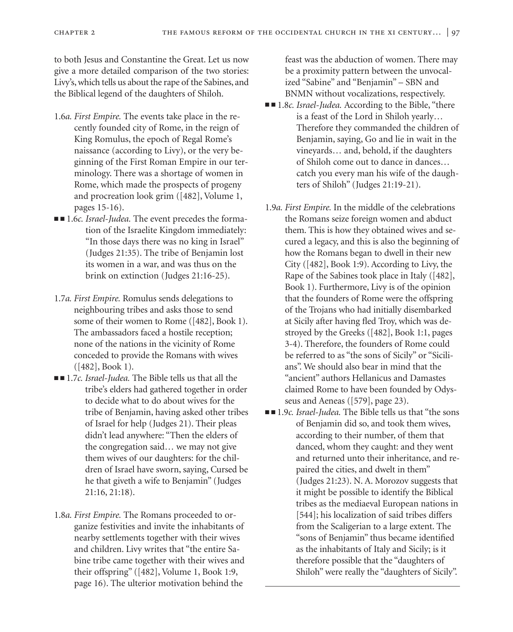to both Jesus and Constantine the Great. Let us now give a more detailed comparison of the two stories: Livy's, which tells us about the rape of the Sabines, and the Biblical legend of the daughters of Shiloh.

- 1.6*a. First Empire.* The events take place in the recently founded city of Rome, in the reign of King Romulus, the epoch of Regal Rome's naissance (according to Livy), or the very beginning of the First Roman Empire in our terminology. There was a shortage of women in Rome, which made the prospects of progeny and procreation look grim ([482], Volume 1, pages 15-16).
- ■■ 1.6*c. Israel-Judea*. The event precedes the formation of the Israelite Kingdom immediately: "In those days there was no king in Israel" (Judges 21:35). The tribe of Benjamin lost its women in a war, and was thus on the brink on extinction (Judges 21:16-25).
- 1.7*a. First Empire.* Romulus sends delegations to neighbouring tribes and asks those to send some of their women to Rome ([482], Book 1). The ambassadors faced a hostile reception; none of the nations in the vicinity of Rome conceded to provide the Romans with wives ([482], Book 1).
- ■ 1.7*c. Israel-Judea.* The Bible tells us that all the tribe's elders had gathered together in order to decide what to do about wives for the tribe of Benjamin, having asked other tribes of Israel for help (Judges 21). Their pleas didn't lead anywhere: "Then the elders of the congregation said… we may not give them wives of our daughters: for the children of Israel have sworn, saying, Cursed be he that giveth a wife to Benjamin" (Judges 21:16, 21:18).
- 1.8*a. First Empire.* The Romans proceeded to organize festivities and invite the inhabitants of nearby settlements together with their wives and children. Livy writes that "the entire Sabine tribe came together with their wives and their offspring" ([482], Volume 1, Book 1:9, page 16). The ulterior motivation behind the

feast was the abduction of women. There may be a proximity pattern between the unvocalized "Sabine" and "Benjamin" – SBN and BNMN without vocalizations, respectively.

- ■■ 1.8*c. Israel-Judea*. According to the Bible, "there is a feast of the Lord in Shiloh yearly… Therefore they commanded the children of Benjamin, saying, Go and lie in wait in the vineyards… and, behold, if the daughters of Shiloh come out to dance in dances… catch you every man his wife of the daughters of Shiloh" (Judges 21:19-21).
- 1.9*a. First Empire.* In the middle of the celebrations the Romans seize foreign women and abduct them. This is how they obtained wives and secured a legacy, and this is also the beginning of how the Romans began to dwell in their new City ([482], Book 1:9). According to Livy, the Rape of the Sabines took place in Italy ([482], Book 1). Furthermore, Livy is of the opinion that the founders of Rome were the offspring of the Trojans who had initially disembarked at Sicily after having fled Troy, which was destroyed by the Greeks ([482], Book 1:1, pages 3-4). Therefore, the founders of Rome could be referred to as "the sons of Sicily" or "Sicilians". We should also bear in mind that the "ancient" authors Hellanicus and Damastes claimed Rome to have been founded by Odysseus and Aeneas ([579], page 23).
- ■■ 1.9*c. Israel-Judea*. The Bible tells us that "the sons of Benjamin did so, and took them wives, according to their number, of them that danced, whom they caught: and they went and returned unto their inheritance, and repaired the cities, and dwelt in them" (Judges 21:23). N. A. Morozov suggests that it might be possible to identify the Biblical tribes as the mediaeval European nations in [544]; his localization of said tribes differs from the Scaligerian to a large extent. The "sons of Benjamin" thus became identified as the inhabitants of Italy and Sicily; is it therefore possible that the "daughters of Shiloh" were really the "daughters of Sicily".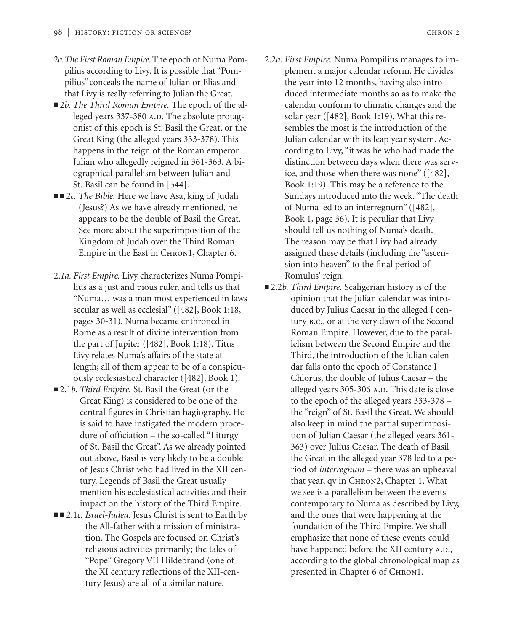- 2*a.The First Roman Empire.*The epoch of Numa Pompilius according to Livy. It is possible that "Pompilius"conceals the name of Julian or Elias and that Livy is really referring to Julian the Great.
- 2*b. The Third Roman Empire*. The epoch of the alleged years 337-380 A.D. The absolute protagonist of this epoch is St. Basil the Great, or the Great King (the alleged years 333-378). This happens in the reign of the Roman emperor Julian who allegedly reigned in 361-363. A biographical parallelism between Julian and St. Basil can be found in [544].
- ■ 2*c. The Bible*. Here we have Asa, king of Judah (Jesus?) As we have already mentioned, he appears to be the double of Basil the Great. See more about the superimposition of the Kingdom of Judah over the Third Roman Empire in the East in CHRON1, Chapter 6.
- 2.*1a. First Empire.* Livy characterizes Numa Pompilius as a just and pious ruler, and tells us that "Numa… was a man most experienced in laws secular as well as ecclesial" ([482], Book 1:18, pages 30-31). Numa became enthroned in Rome as a result of divine intervention from the part of Jupiter ([482], Book 1:18). Titus Livy relates Numa's affairs of the state at length; all of them appear to be of a conspicuously ecclesiastical character ([482], Book 1).
- 2.1*b. Third Empire*. St. Basil the Great (or the Great King) is considered to be one of the central figures in Christian hagiography. He is said to have instigated the modern procedure of officiation – the so-called "Liturgy of St. Basil the Great". As we already pointed out above, Basil is very likely to be a double of Jesus Christ who had lived in the XII century. Legends of Basil the Great usually mention his ecclesiastical activities and their impact on the history of the Third Empire.
- ■ 2.1*c. Israel-Judea*. Jesus Christ is sent to Earth by the All-father with a mission of ministration. The Gospels are focused on Christ's religious activities primarily; the tales of "Pope" Gregory VII Hildebrand (one of the XI century reflections of the XII-century Jesus) are all of a similar nature.
- 2.2*a. First Empire.* Numa Pompilius manages to implement a major calendar reform. He divides the year into 12 months, having also introduced intermediate months so as to make the calendar conform to climatic changes and the solar year ([482], Book 1:19). What this resembles the most is the introduction of the Julian calendar with its leap year system. According to Livy, "it was he who had made the distinction between days when there was service, and those when there was none" ([482], Book 1:19). This may be a reference to the Sundays introduced into the week. "The death of Numa led to an interregnum" ([482], Book 1, page 36). It is peculiar that Livy should tell us nothing of Numa's death. The reason may be that Livy had already assigned these details (including the "ascension into heaven" to the final period of Romulus' reign.
- 2.2*b. Third Empire.* Scaligerian history is of the opinion that the Julian calendar was introduced by Julius Caesar in the alleged I century b.c., or at the very dawn of the Second Roman Empire. However, due to the parallelism between the Second Empire and the Third, the introduction of the Julian calendar falls onto the epoch of Constance I Chlorus, the double of Julius Caesar – the alleged years 305-306 A.D. This date is close to the epoch of the alleged years 333-378 – the "reign" of St. Basil the Great. We should also keep in mind the partial superimposition of Julian Caesar (the alleged years 361- 363) over Julius Caesar. The death of Basil the Great in the alleged year 378 led to a period of *interregnum* – there was an upheaval that year, qv in Chron2, Chapter 1. What we see is a parallelism between the events contemporary to Numa as described by Livy, and the ones that were happening at the foundation of the Third Empire. We shall emphasize that none of these events could have happened before the XII century A.D., according to the global chronological map as presented in Chapter 6 of CHRON1.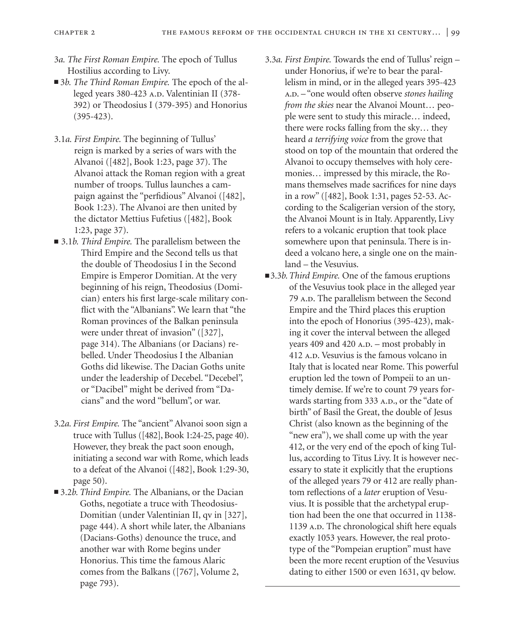- 3*a. The First Roman Empire.* The epoch of Tullus Hostilius according to Livy.
- 3*b. The Third Roman Empire*. The epoch of the alleged years 380-423 A.D. Valentinian II (378-392) or Theodosius I (379-395) and Honorius (395-423).
- 3.1*a. First Empire.* The beginning of Tullus' reign is marked by a series of wars with the Alvanoi ([482], Book 1:23, page 37). The Alvanoi attack the Roman region with a great number of troops. Tullus launches a campaign against the "perfidious" Alvanoi ([482], Book 1:23). The Alvanoi are then united by the dictator Mettius Fufetius ([482], Book 1:23, page 37).
- 3.1*b. Third Empire*. The parallelism between the Third Empire and the Second tells us that the double of Theodosius I in the Second Empire is Emperor Domitian. At the very beginning of his reign, Theodosius (Domician) enters his first large-scale military conflict with the "Albanians". We learn that "the Roman provinces of the Balkan peninsula were under threat of invasion" ([327], page 314). The Albanians (or Dacians) rebelled. Under Theodosius I the Albanian Goths did likewise. The Dacian Goths unite under the leadership of Decebel. "Decebel", or "Dacibel" might be derived from "Dacians" and the word "bellum", or war.
- 3.2*a. First Empire.* The "ancient" Alvanoi soon sign a truce with Tullus ([482], Book 1:24-25, page 40). However, they break the pact soon enough, initiating a second war with Rome, which leads to a defeat of the Alvanoi ([482], Book 1:29-30, page 50).
- 3.2*b. Third Empire*. The Albanians, or the Dacian Goths, negotiate a truce with Theodosius-Domitian (under Valentinian II, qv in [327], page 444). A short while later, the Albanians (Dacians-Goths) denounce the truce, and another war with Rome begins under Honorius. This time the famous Alaric comes from the Balkans ([767], Volume 2, page 793).
- 3.3*a. First Empire.* Towards the end of Tullus' reign under Honorius, if we're to bear the parallelism in mind, or in the alleged years 395-423 a.d. – "one would often observe *stones hailing from the skies* near the Alvanoi Mount… people were sent to study this miracle… indeed, there were rocks falling from the sky… they heard *a terrifying voice* from the grove that stood on top of the mountain that ordered the Alvanoi to occupy themselves with holy ceremonies… impressed by this miracle, the Romans themselves made sacrifices for nine days in a row" ([482], Book 1:31, pages 52-53. According to the Scaligerian version of the story, the Alvanoi Mount is in Italy. Apparently, Livy refers to a volcanic eruption that took place somewhere upon that peninsula. There is indeed a volcano here, a single one on the mainland – the Vesuvius.
- 3.3*b. Third Empire*. One of the famous eruptions of the Vesuvius took place in the alleged year 79 A.D. The parallelism between the Second Empire and the Third places this eruption into the epoch of Honorius (395-423), making it cover the interval between the alleged years 409 and 420  $A.D.$  – most probably in 412 A.D. Vesuvius is the famous volcano in Italy that is located near Rome. This powerful eruption led the town of Pompeii to an untimely demise. If we're to count 79 years forwards starting from 333 A.D., or the "date of birth" of Basil the Great, the double of Jesus Christ (also known as the beginning of the "new era"), we shall come up with the year 412, or the very end of the epoch of king Tullus, according to Titus Livy. It is however necessary to state it explicitly that the eruptions of the alleged years 79 or 412 are really phantom reflections of a *later* eruption of Vesuvius. It is possible that the archetypal eruption had been the one that occurred in 1138- 1139 A.D. The chronological shift here equals exactly 1053 years. However, the real prototype of the "Pompeian eruption" must have been the more recent eruption of the Vesuvius dating to either 1500 or even 1631, qv below.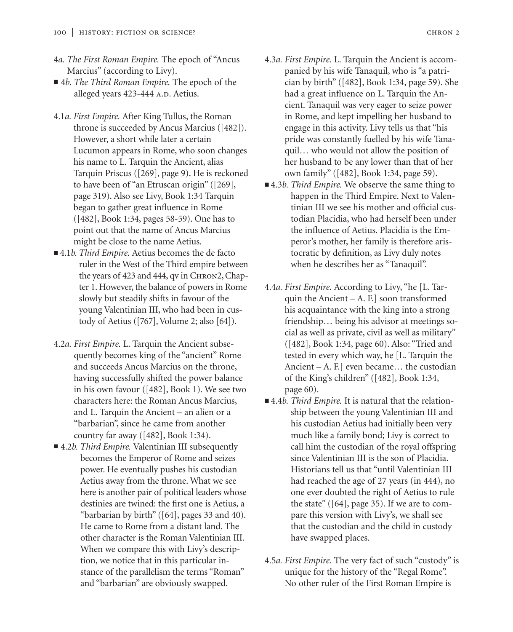- 4*a. The First Roman Empire.* The epoch of "Ancus Marcius" (according to Livy).
- 4*b. The Third Roman Empire*. The epoch of the alleged years 423-444 A.D. Aetius.
- 4.1*a. First Empire.* After King Tullus, the Roman throne is succeeded by Ancus Marcius ([482]). However, a short while later a certain Lucumon appears in Rome, who soon changes his name to L. Tarquin the Ancient, alias Tarquin Priscus ([269], page 9). He is reckoned to have been of "an Etruscan origin" ([269], page 319). Also see Livy, Book 1:34 Tarquin began to gather great influence in Rome ([482], Book 1:34, pages 58-59). One has to point out that the name of Ancus Marcius might be close to the name Aetius.
- 4.1*b. Third Empire*. Aetius becomes the de facto ruler in the West of the Third empire between the years of 423 and 444, qv in CHRON2, Chapter 1. However, the balance of powers in Rome slowly but steadily shifts in favour of the young Valentinian III, who had been in custody of Aetius ([767], Volume 2; also [64]).
- 4.2*a. First Empire.* L. Tarquin the Ancient subsequently becomes king of the "ancient" Rome and succeeds Ancus Marcius on the throne, having successfully shifted the power balance in his own favour ([482], Book 1). We see two characters here: the Roman Ancus Marcius, and L. Tarquin the Ancient – an alien or a "barbarian", since he came from another country far away ([482], Book 1:34).
- 4.2*b. Third Empire*. Valentinian III subsequently becomes the Emperor of Rome and seizes power. He eventually pushes his custodian Aetius away from the throne. What we see here is another pair of political leaders whose destinies are twined: the first one is Aetius, a "barbarian by birth" ([64], pages 33 and 40). He came to Rome from a distant land. The other character is the Roman Valentinian III. When we compare this with Livy's description, we notice that in this particular instance of the parallelism the terms "Roman" and "barbarian" are obviously swapped.
- 4.3*a. First Empire.* L. Tarquin the Ancient is accompanied by his wife Tanaquil, who is "a patrician by birth" ([482], Book 1:34, page 59). She had a great influence on L. Tarquin the Ancient. Tanaquil was very eager to seize power in Rome, and kept impelling her husband to engage in this activity. Livy tells us that "his pride was constantly fuelled by his wife Tanaquil… who would not allow the position of her husband to be any lower than that of her own family" ([482], Book 1:34, page 59).
- 4.3*b. Third Empire*. We observe the same thing to happen in the Third Empire. Next to Valentinian III we see his mother and official custodian Placidia, who had herself been under the influence of Aetius. Placidia is the Emperor's mother, her family is therefore aristocratic by definition, as Livy duly notes when he describes her as "Tanaquil".
- 4.4*a. First Empire.* According to Livy, "he [L. Tarquin the Ancient – A. F.] soon transformed his acquaintance with the king into a strong friendship… being his advisor at meetings social as well as private, civil as well as military" ([482], Book 1:34, page 60). Also: "Tried and tested in every which way, he [L. Tarquin the Ancient – A. F.] even became… the custodian of the King's children" ([482], Book 1:34, page 60).
- 4.4*b. Third Empire*. It is natural that the relationship between the young Valentinian III and his custodian Aetius had initially been very much like a family bond; Livy is correct to call him the custodian of the royal offspring since Valentinian III is the son of Placidia. Historians tell us that "until Valentinian III had reached the age of 27 years (in 444), no one ever doubted the right of Aetius to rule the state"  $([64],$  page 35). If we are to compare this version with Livy's, we shall see that the custodian and the child in custody have swapped places.
- 4.5*a. First Empire.* The very fact of such "custody" is unique for the history of the "Regal Rome". No other ruler of the First Roman Empire is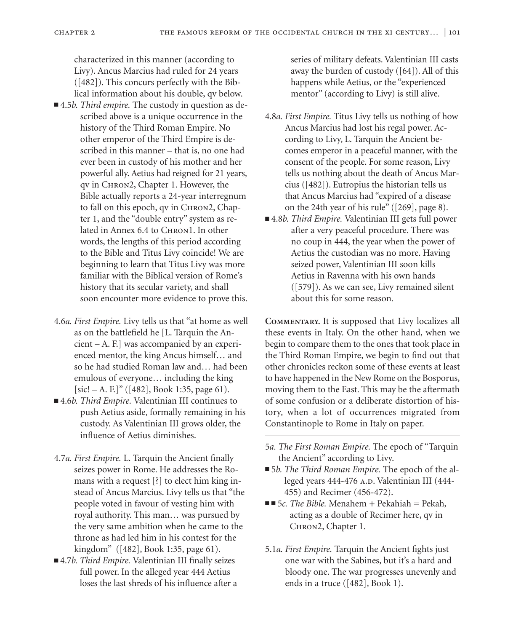characterized in this manner (according to Livy). Ancus Marcius had ruled for 24 years ([482]). This concurs perfectly with the Biblical information about his double, qv below.

- 4.5*b. Third empire*. The custody in question as described above is a unique occurrence in the history of the Third Roman Empire. No other emperor of the Third Empire is described in this manner – that is, no one had ever been in custody of his mother and her powerful ally. Aetius had reigned for 21 years, qv in Chron2, Chapter 1. However, the Bible actually reports a 24-year interregnum to fall on this epoch, qv in CHRON2, Chapter 1, and the "double entry" system as related in Annex 6.4 to CHRON1. In other words, the lengths of this period according to the Bible and Titus Livy coincide! We are beginning to learn that Titus Livy was more familiar with the Biblical version of Rome's history that its secular variety, and shall soon encounter more evidence to prove this.
- 4.6*a. First Empire.* Livy tells us that "at home as well as on the battlefield he [L. Tarquin the Ancient – A. F.] was accompanied by an experienced mentor, the king Ancus himself… and so he had studied Roman law and… had been emulous of everyone… including the king [sic! – A. F.]" ([482], Book 1:35, page 61).
- 4.6*b. Third Empire*. Valentinian III continues to push Aetius aside, formally remaining in his custody. As Valentinian III grows older, the influence of Aetius diminishes.
- 4.7*a. First Empire.* L. Tarquin the Ancient finally seizes power in Rome. He addresses the Romans with a request [?] to elect him king instead of Ancus Marcius. Livy tells us that "the people voted in favour of vesting him with royal authority. This man… was pursued by the very same ambition when he came to the throne as had led him in his contest for the kingdom" ([482], Book 1:35, page 61).
- 4.7*b. Third Empire*. Valentinian III finally seizes full power. In the alleged year 444 Aetius loses the last shreds of his influence after a

series of military defeats. Valentinian III casts away the burden of custody ([64]). All of this happens while Aetius, or the "experienced mentor" (according to Livy) is still alive.

- 4.8*a. First Empire.* Titus Livy tells us nothing of how Ancus Marcius had lost his regal power. According to Livy, L. Tarquin the Ancient becomes emperor in a peaceful manner, with the consent of the people. For some reason, Livy tells us nothing about the death of Ancus Marcius ([482]). Eutropius the historian tells us that Ancus Marcius had "expired of a disease on the 24th year of his rule" ([269], page 8).
- 4.8*b. Third Empire*. Valentinian III gets full power after a very peaceful procedure. There was no coup in 444, the year when the power of Aetius the custodian was no more. Having seized power, Valentinian III soon kills Aetius in Ravenna with his own hands ([579]). As we can see, Livy remained silent about this for some reason.

**Commentary.** It is supposed that Livy localizes all these events in Italy. On the other hand, when we begin to compare them to the ones that took place in the Third Roman Empire, we begin to find out that other chronicles reckon some of these events at least to have happened in the New Rome on the Bosporus, moving them to the East. This may be the aftermath of some confusion or a deliberate distortion of history, when a lot of occurrences migrated from Constantinople to Rome in Italy on paper.

- 5*a. The First Roman Empire.* The epoch of "Tarquin the Ancient" according to Livy.
- 5*b. The Third Roman Empire*. The epoch of the alleged years 444-476 A.D. Valentinian III (444-455) and Recimer (456-472).
- $\blacksquare$  = 5*c. The Bible*. Menahem + Pekahiah = Pekah, acting as a double of Recimer here, qv in CHRON2, Chapter 1.
- 5.1*a. First Empire.* Tarquin the Ancient fights just one war with the Sabines, but it's a hard and bloody one. The war progresses unevenly and ends in a truce ([482], Book 1).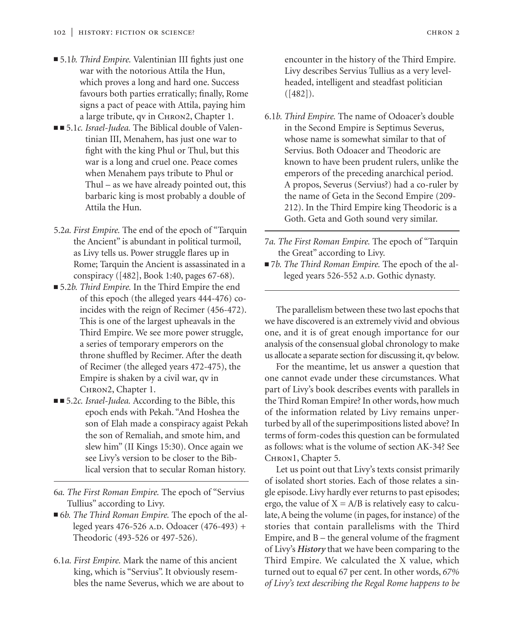- 5.1*b. Third Empire*. Valentinian III fights just one war with the notorious Attila the Hun, which proves a long and hard one. Success favours both parties erratically; finally, Rome signs a pact of peace with Attila, paying him a large tribute, qv in Chron2, Chapter 1.
- ■■ 5.1*c. Israel-Judea*. The Biblical double of Valentinian III, Menahem, has just one war to fight with the king Phul or Thul, but this war is a long and cruel one. Peace comes when Menahem pays tribute to Phul or Thul – as we have already pointed out, this barbaric king is most probably a double of Attila the Hun.
- 5.2*a. First Empire.* The end of the epoch of "Tarquin the Ancient" is abundant in political turmoil, as Livy tells us. Power struggle flares up in Rome; Tarquin the Ancient is assassinated in a conspiracy ([482], Book 1:40, pages 67-68).
- 5.2*b. Third Empire*. In the Third Empire the end of this epoch (the alleged years 444-476) coincides with the reign of Recimer (456-472). This is one of the largest upheavals in the Third Empire. We see more power struggle, a series of temporary emperors on the throne shuffled by Recimer. After the death of Recimer (the alleged years 472-475), the Empire is shaken by a civil war, qv in Chron2, Chapter 1.
- ■■ 5.2*c. Israel-Judea*. According to the Bible, this epoch ends with Pekah. "And Hoshea the son of Elah made a conspiracy agaist Pekah the son of Remaliah, and smote him, and slew him" (II Kings 15:30). Once again we see Livy's version to be closer to the Biblical version that to secular Roman history.
- 6*a. The First Roman Empire.* The epoch of "Servius Tullius" according to Livy.
- 6*b. The Third Roman Empire*. The epoch of the alleged years  $476 - 526$  A.D. Odoacer  $(476 - 493)$  + Theodoric (493-526 or 497-526).
- 6.1*a. First Empire.* Mark the name of this ancient king, which is "Servius". It obviously resembles the name Severus, which we are about to

encounter in the history of the Third Empire. Livy describes Servius Tullius as a very levelheaded, intelligent and steadfast politician  $([482])$ .

- 6.1*b. Third Empire.* The name of Odoacer's double in the Second Empire is Septimus Severus, whose name is somewhat similar to that of Servius. Both Odoacer and Theodoric are known to have been prudent rulers, unlike the emperors of the preceding anarchical period. A propos, Severus (Servius?) had a co-ruler by the name of Geta in the Second Empire (209- 212). In the Third Empire king Theodoric is a Goth. Geta and Goth sound very similar.
- 7*a. The First Roman Empire.* The epoch of "Tarquin the Great" according to Livy.
- 7*b. The Third Roman Empire*. The epoch of the alleged years 526-552 A.D. Gothic dynasty.

The parallelism between these two last epochs that we have discovered is an extremely vivid and obvious one, and it is of great enough importance for our analysis of the consensual global chronology to make us allocate a separate section for discussing it, qv below.

For the meantime, let us answer a question that one cannot evade under these circumstances. What part of Livy's book describes events with parallels in the Third Roman Empire? In other words, how much of the information related by Livy remains unperturbed by all of the superimpositions listed above? In terms of form-codes this question can be formulated as follows: what is the volume of section AK-34? See CHRON1, Chapter 5.

Let us point out that Livy's texts consist primarily of isolated short stories. Each of those relates a single episode. Livy hardly ever returns to past episodes; ergo, the value of  $X = A/B$  is relatively easy to calculate, A being the volume (in pages, for instance) of the stories that contain parallelisms with the Third Empire, and B – the general volume of the fragment of Livy's *History* that we have been comparing to the Third Empire. We calculated the X value, which turned out to equal 67 per cent. In other words, *67% of Livy's text describing the Regal Rome happens to be*